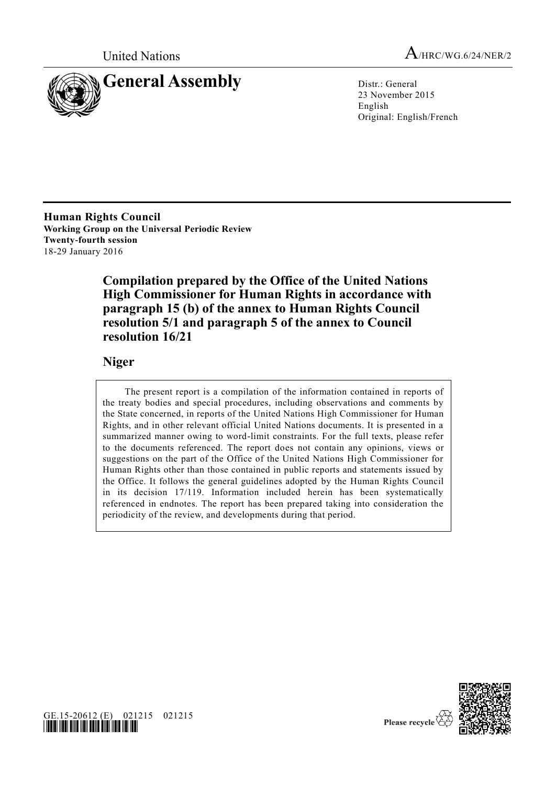



23 November 2015 English Original: English/French

**Human Rights Council Working Group on the Universal Periodic Review Twenty-fourth session** 18-29 January 2016

> **Compilation prepared by the Office of the United Nations High Commissioner for Human Rights in accordance with paragraph 15 (b) of the annex to Human Rights Council resolution 5/1 and paragraph 5 of the annex to Council resolution 16/21**

## **Niger**

The present report is a compilation of the information contained in reports of the treaty bodies and special procedures, including observations and comments by the State concerned, in reports of the United Nations High Commissioner for Human Rights, and in other relevant official United Nations documents. It is presented in a summarized manner owing to word-limit constraints. For the full texts, please refer to the documents referenced. The report does not contain any opinions, views or suggestions on the part of the Office of the United Nations High Commissioner for Human Rights other than those contained in public reports and statements issued by the Office. It follows the general guidelines adopted by the Human Rights Council in its decision 17/119. Information included herein has been systematically referenced in endnotes. The report has been prepared taking into consideration the periodicity of the review, and developments during that period.





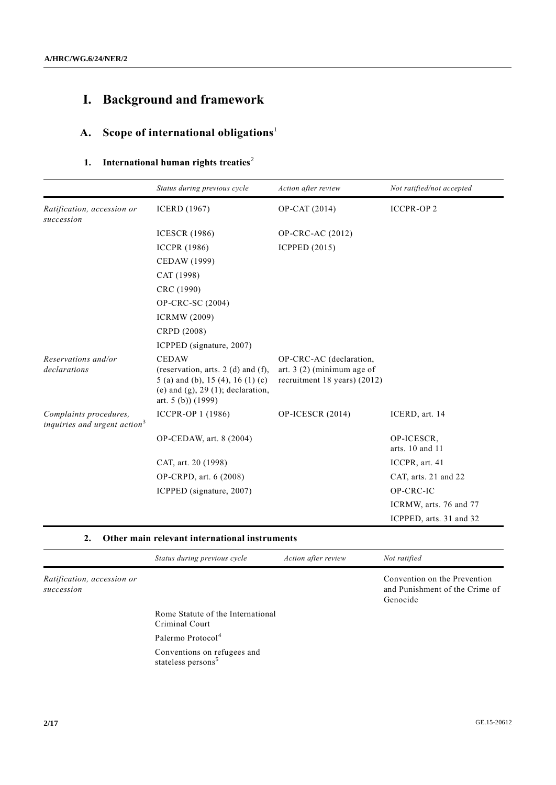# **I. Background and framework**

# **A. Scope of international obligations**<sup>1</sup>

# **1.** International human rights treaties<sup>2</sup>

|                                                                    | Status during previous cycle                                                                                                                                 | Action after review                                                                    | Not ratified/not accepted     |
|--------------------------------------------------------------------|--------------------------------------------------------------------------------------------------------------------------------------------------------------|----------------------------------------------------------------------------------------|-------------------------------|
| Ratification, accession or<br>succession                           | <b>ICERD</b> (1967)                                                                                                                                          | OP-CAT (2014)                                                                          | <b>ICCPR-OP2</b>              |
|                                                                    | <b>ICESCR</b> (1986)                                                                                                                                         | OP-CRC-AC (2012)                                                                       |                               |
|                                                                    | <b>ICCPR</b> (1986)                                                                                                                                          | <b>ICPPED (2015)</b>                                                                   |                               |
|                                                                    | CEDAW (1999)                                                                                                                                                 |                                                                                        |                               |
|                                                                    | CAT (1998)                                                                                                                                                   |                                                                                        |                               |
|                                                                    | CRC (1990)                                                                                                                                                   |                                                                                        |                               |
|                                                                    | OP-CRC-SC (2004)                                                                                                                                             |                                                                                        |                               |
|                                                                    | <b>ICRMW (2009)</b>                                                                                                                                          |                                                                                        |                               |
|                                                                    | CRPD (2008)                                                                                                                                                  |                                                                                        |                               |
|                                                                    | ICPPED (signature, 2007)                                                                                                                                     |                                                                                        |                               |
| Reservations and/or<br>declarations                                | <b>CEDAW</b><br>(reservation, arts. $2$ (d) and (f),<br>5 (a) and (b), 15 (4), 16 (1) (c)<br>(e) and $(g)$ , 29 $(1)$ ; declaration,<br>art. $5(b)$ $(1999)$ | OP-CRC-AC (declaration,<br>art. $3(2)$ (minimum age of<br>recruitment 18 years) (2012) |                               |
| Complaints procedures,<br>inquiries and urgent action <sup>3</sup> | ICCPR-OP 1 (1986)                                                                                                                                            | OP-ICESCR (2014)                                                                       | ICERD, art. 14                |
|                                                                    | OP-CEDAW, art. 8 (2004)                                                                                                                                      |                                                                                        | OP-ICESCR,<br>arts. 10 and 11 |
|                                                                    | CAT, art. 20 (1998)                                                                                                                                          |                                                                                        | ICCPR, art. 41                |
|                                                                    | OP-CRPD, art. 6 (2008)                                                                                                                                       |                                                                                        | CAT, arts. 21 and 22          |
|                                                                    | ICPPED (signature, 2007)                                                                                                                                     |                                                                                        | OP-CRC-IC                     |
|                                                                    |                                                                                                                                                              |                                                                                        | ICRMW, arts. 76 and 77        |
|                                                                    |                                                                                                                                                              |                                                                                        | ICPPED, arts. 31 and 32       |

### **2. Other main relevant international instruments**

|                                          | Status during previous cycle                                  | Action after review | Not ratified                                                               |
|------------------------------------------|---------------------------------------------------------------|---------------------|----------------------------------------------------------------------------|
| Ratification, accession or<br>succession |                                                               |                     | Convention on the Prevention<br>and Punishment of the Crime of<br>Genocide |
|                                          | Rome Statute of the International<br>Criminal Court           |                     |                                                                            |
|                                          | Palermo Protocol <sup>4</sup>                                 |                     |                                                                            |
|                                          | Conventions on refugees and<br>stateless persons <sup>5</sup> |                     |                                                                            |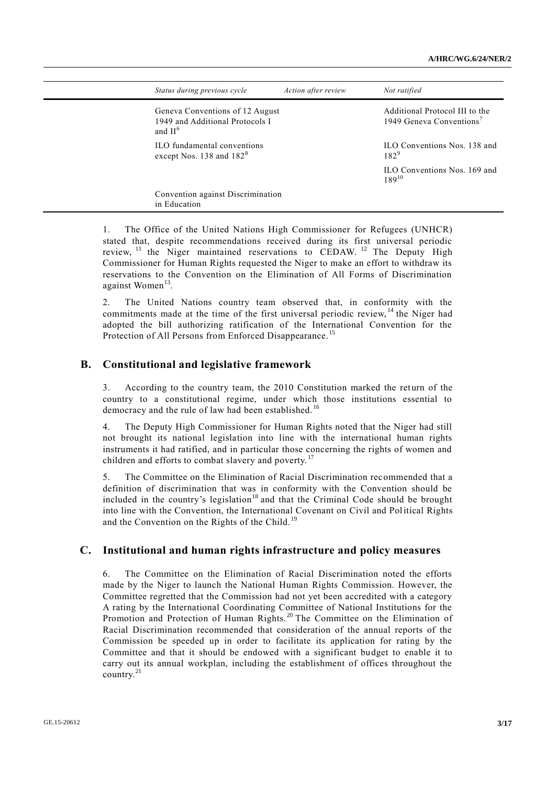| Status during previous cycle                                                     | Action after review | Not ratified                                                           |
|----------------------------------------------------------------------------------|---------------------|------------------------------------------------------------------------|
| Geneva Conventions of 12 August<br>1949 and Additional Protocols I<br>and $II^6$ |                     | Additional Protocol III to the<br>1949 Geneva Conventions <sup>7</sup> |
| ILO fundamental conventions<br>except Nos. 138 and 182 <sup>8</sup>              |                     | ILO Conventions Nos. 138 and<br>$182^{9}$                              |
|                                                                                  |                     | ILO Conventions Nos. 169 and<br>$189^{10}$                             |
| Convention against Discrimination<br>in Education                                |                     |                                                                        |

The Office of the United Nations High Commissioner for Refugees (UNHCR) stated that, despite recommendations received during its first universal periodic review, <sup>11</sup> the Niger maintained reservations to CEDAW. <sup>12</sup> The Deputy High Commissioner for Human Rights requested the Niger to make an effort to withdraw its reservations to the Convention on the Elimination of All Forms of Discrimination against Women<sup>13</sup>.

2. The United Nations country team observed that, in conformity with the commitments made at the time of the first universal periodic review, <sup>14</sup> the Niger had adopted the bill authorizing ratification of the International Convention for the Protection of All Persons from Enforced Disappearance.<sup>15</sup>

#### **B. Constitutional and legislative framework**

3. According to the country team, the 2010 Constitution marked the return of the country to a constitutional regime, under which those institutions essential to democracy and the rule of law had been established.<sup>16</sup>

4. The Deputy High Commissioner for Human Rights noted that the Niger had still not brought its national legislation into line with the international human rights instruments it had ratified, and in particular those concerning the rights of women and children and efforts to combat slavery and poverty.<sup>17</sup>

5. The Committee on the Elimination of Racial Discrimination recommended that a definition of discrimination that was in conformity with the Convention should be included in the country's legislation<sup>18</sup> and that the Criminal Code should be brought into line with the Convention, the International Covenant on Civil and Political Rights and the Convention on the Rights of the Child.<sup>19</sup>

#### **C. Institutional and human rights infrastructure and policy measures**

6. The Committee on the Elimination of Racial Discrimination noted the efforts made by the Niger to launch the National Human Rights Commission. However, the Committee regretted that the Commission had not yet been accredited with a category A rating by the International Coordinating Committee of National Institutions for the Promotion and Protection of Human Rights. <sup>20</sup> The Committee on the Elimination of Racial Discrimination recommended that consideration of the annual reports of the Commission be speeded up in order to facilitate its application for rating by the Committee and that it should be endowed with a significant budget to enable it to carry out its annual workplan, including the establishment of offices throughout the country.<sup>21</sup>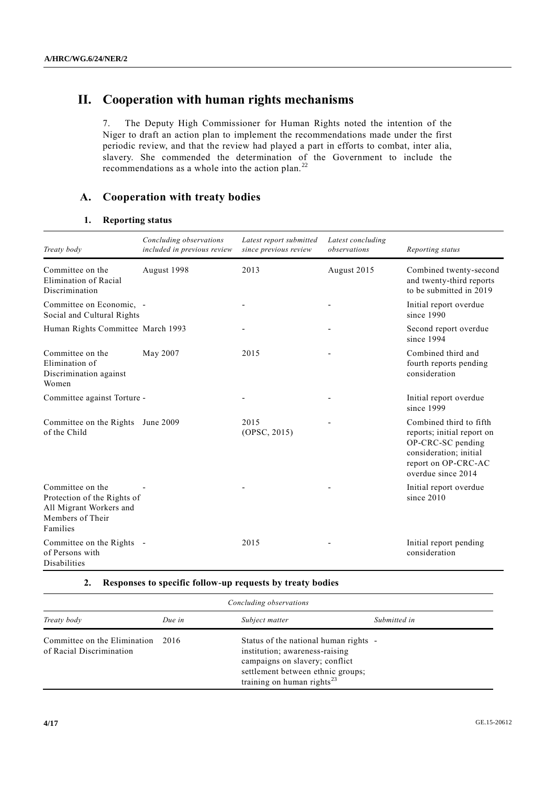# **II. Cooperation with human rights mechanisms**

7. The Deputy High Commissioner for Human Rights noted the intention of the Niger to draft an action plan to implement the recommendations made under the first periodic review, and that the review had played a part in efforts to combat, inter alia, slavery. She commended the determination of the Government to include the recommendations as a whole into the action plan.<sup>22</sup>

### **A. Cooperation with treaty bodies**

#### **1. Reporting status**

| Treaty body                                                                                                | Concluding observations<br>included in previous review | Latest report submitted<br>since previous review | Latest concluding<br>observations | Reporting status                                                                                                                                  |
|------------------------------------------------------------------------------------------------------------|--------------------------------------------------------|--------------------------------------------------|-----------------------------------|---------------------------------------------------------------------------------------------------------------------------------------------------|
| Committee on the<br>Elimination of Racial<br>Discrimination                                                | August 1998                                            | 2013                                             | August 2015                       | Combined twenty-second<br>and twenty-third reports<br>to be submitted in 2019                                                                     |
| Committee on Economic, -<br>Social and Cultural Rights                                                     |                                                        |                                                  |                                   | Initial report overdue<br>since 1990                                                                                                              |
| Human Rights Committee March 1993                                                                          |                                                        |                                                  |                                   | Second report overdue<br>since 1994                                                                                                               |
| Committee on the<br>Elimination of<br>Discrimination against<br>Women                                      | May 2007                                               | 2015                                             |                                   | Combined third and<br>fourth reports pending<br>consideration                                                                                     |
| Committee against Torture -                                                                                |                                                        |                                                  |                                   | Initial report overdue<br>since 1999                                                                                                              |
| Committee on the Rights<br>of the Child                                                                    | June 2009                                              | 2015<br>(OPSC, 2015)                             |                                   | Combined third to fifth<br>reports; initial report on<br>OP-CRC-SC pending<br>consideration; initial<br>report on OP-CRC-AC<br>overdue since 2014 |
| Committee on the<br>Protection of the Rights of<br>All Migrant Workers and<br>Members of Their<br>Families |                                                        |                                                  |                                   | Initial report overdue<br>since $2010$                                                                                                            |
| Committee on the Rights -<br>of Persons with<br>Disabilities                                               |                                                        | 2015                                             |                                   | Initial report pending<br>consideration                                                                                                           |

#### **2. Responses to specific follow-up requests by treaty bodies**

| Concluding observations                                  |        |                                                                                                                                                                                    |              |
|----------------------------------------------------------|--------|------------------------------------------------------------------------------------------------------------------------------------------------------------------------------------|--------------|
| Treaty body                                              | Due in | Subject matter                                                                                                                                                                     | Submitted in |
| Committee on the Elimination<br>of Racial Discrimination | 2016   | Status of the national human rights -<br>institution; awareness-raising<br>campaigns on slavery; conflict<br>settlement between ethnic groups;<br>training on human rights $^{23}$ |              |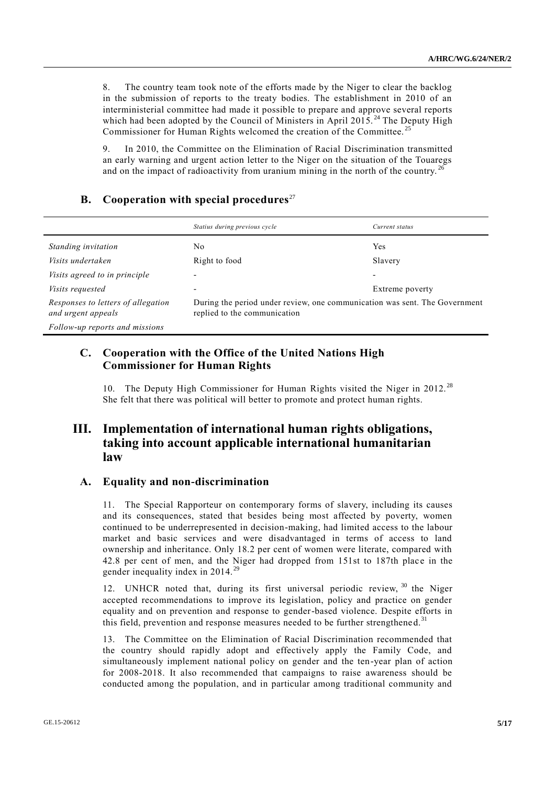8. The country team took note of the efforts made by the Niger to clear the backlog in the submission of reports to the treaty bodies. The establishment in 2010 of an interministerial committee had made it possible to prepare and approve several reports which had been adopted by the Council of Ministers in April 2015.<sup>24</sup> The Deputy High Commissioner for Human Rights welcomed the creation of the Committee.<sup>2</sup>

9. In 2010, the Committee on the Elimination of Racial Discrimination transmitted an early warning and urgent action letter to the Niger on the situation of the Touaregs and on the impact of radioactivity from uranium mining in the north of the country.<sup>26</sup>

## **B.** Cooperation with special procedures<sup>27</sup>

|                                                          | Statius during previous cycle                                                                              | Current status           |
|----------------------------------------------------------|------------------------------------------------------------------------------------------------------------|--------------------------|
| Standing invitation                                      | No                                                                                                         | Yes                      |
| Visits undertaken                                        | Right to food                                                                                              | Slavery                  |
| Visits agreed to in principle                            |                                                                                                            | $\overline{\phantom{0}}$ |
| <i>Visits requested</i>                                  | ۰                                                                                                          | Extreme poverty          |
| Responses to letters of allegation<br>and urgent appeals | During the period under review, one communication was sent. The Government<br>replied to the communication |                          |
| Follow-up reports and missions                           |                                                                                                            |                          |

## **C. Cooperation with the Office of the United Nations High Commissioner for Human Rights**

10. The Deputy High Commissioner for Human Rights visited the Niger in 2012.<sup>28</sup> She felt that there was political will better to promote and protect human rights.

## **III. Implementation of international human rights obligations, taking into account applicable international humanitarian law**

### **A. Equality and non-discrimination**

11. The Special Rapporteur on contemporary forms of slavery, including its causes and its consequences, stated that besides being most affected by poverty, women continued to be underrepresented in decision-making, had limited access to the labour market and basic services and were disadvantaged in terms of access to land ownership and inheritance. Only 18.2 per cent of women were literate, compared with 42.8 per cent of men, and the Niger had dropped from 151st to 187th place in the gender inequality index in 2014.

12. UNHCR noted that, during its first universal periodic review, <sup>30</sup> the Niger accepted recommendations to improve its legislation, policy and practice on gender equality and on prevention and response to gender-based violence. Despite efforts in this field, prevention and response measures needed to be further strengthened.<sup>31</sup>

13. The Committee on the Elimination of Racial Discrimination recommended that the country should rapidly adopt and effectively apply the Family Code, and simultaneously implement national policy on gender and the ten-year plan of action for 2008-2018. It also recommended that campaigns to raise awareness should be conducted among the population, and in particular among traditional community and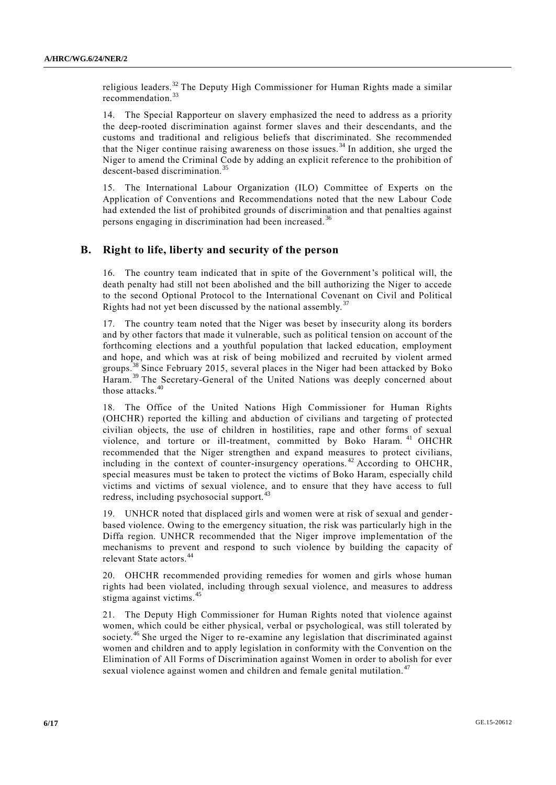religious leaders.<sup>32</sup> The Deputy High Commissioner for Human Rights made a similar recommendation.<sup>33</sup>

14. The Special Rapporteur on slavery emphasized the need to address as a priority the deep-rooted discrimination against former slaves and their descendants, and the customs and traditional and religious beliefs that discriminated. She recommended that the Niger continue raising awareness on those issues.<sup>34</sup> In addition, she urged the Niger to amend the Criminal Code by adding an explicit reference to the prohibition of descent-based discrimination.<sup>35</sup>

15. The International Labour Organization (ILO) Committee of Experts on the Application of Conventions and Recommendations noted that the new Labour Code had extended the list of prohibited grounds of discrimination and that penalties against persons engaging in discrimination had been increased. <sup>36</sup>

### **B. Right to life, liberty and security of the person**

16. The country team indicated that in spite of the Government's political will, the death penalty had still not been abolished and the bill authorizing the Niger to accede to the second Optional Protocol to the International Covenant on Civil and Political Rights had not yet been discussed by the national assembly.<sup>37</sup>

17. The country team noted that the Niger was beset by insecurity along its borders and by other factors that made it vulnerable, such as political tension on account of the forthcoming elections and a youthful population that lacked education, employment and hope, and which was at risk of being mobilized and recruited by violent armed groups.<sup>38</sup> Since February 2015, several places in the Niger had been attacked by Boko Haram.<sup>39</sup> The Secretary-General of the United Nations was deeply concerned about those attacks.<sup>40</sup>

18. The Office of the United Nations High Commissioner for Human Rights (OHCHR) reported the killing and abduction of civilians and targeting of protected civilian objects, the use of children in hostilities, rape and other forms of sexual violence, and torture or ill-treatment, committed by Boko Haram. <sup>41</sup> OHCHR recommended that the Niger strengthen and expand measures to protect civilians, including in the context of counter-insurgency operations. <sup>42</sup> According to OHCHR, special measures must be taken to protect the victims of Boko Haram, especially child victims and victims of sexual violence, and to ensure that they have access to full redress, including psychosocial support.<sup>43</sup>

19. UNHCR noted that displaced girls and women were at risk of sexual and genderbased violence. Owing to the emergency situation, the risk was particularly high in the Diffa region. UNHCR recommended that the Niger improve implementation of the mechanisms to prevent and respond to such violence by building the capacity of relevant State actors.<sup>44</sup>

20. OHCHR recommended providing remedies for women and girls whose human rights had been violated, including through sexual violence, and measures to address stigma against victims.<sup>45</sup>

21. The Deputy High Commissioner for Human Rights noted that violence against women, which could be either physical, verbal or psychological, was still tolerated by society.<sup>46</sup> She urged the Niger to re-examine any legislation that discriminated against women and children and to apply legislation in conformity with the Convention on the Elimination of All Forms of Discrimination against Women in order to abolish for ever sexual violence against women and children and female genital mutilation.<sup>47</sup>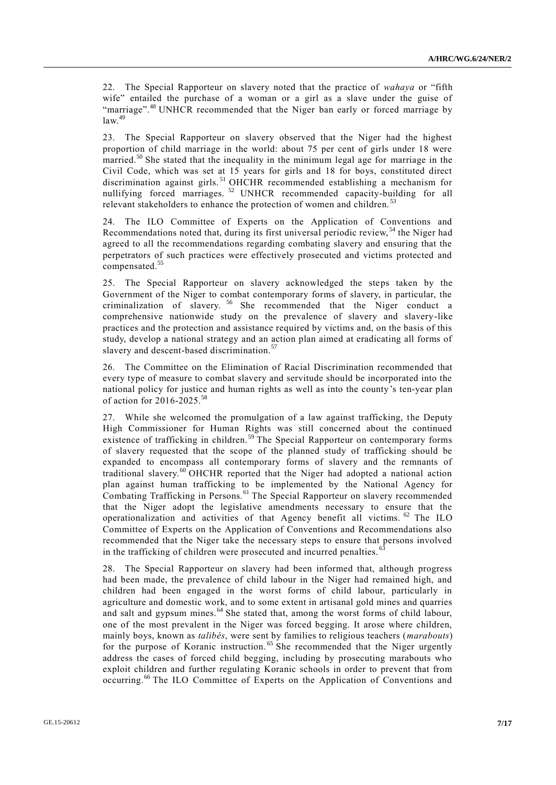22. The Special Rapporteur on slavery noted that the practice of *wahaya* or "fifth wife" entailed the purchase of a woman or a girl as a slave under the guise of "marriage".<sup>48</sup> UNHCR recommended that the Niger ban early or forced marriage by  $\int$ law<sup>49</sup>

23. The Special Rapporteur on slavery observed that the Niger had the highest proportion of child marriage in the world: about 75 per cent of girls under 18 were married.<sup>50</sup> She stated that the inequality in the minimum legal age for marriage in the Civil Code, which was set at 15 years for girls and 18 for boys, constituted direct discrimination against girls.<sup>51</sup> OHCHR recommended establishing a mechanism for nullifying forced marriages.<sup>52</sup> UNHCR recommended capacity-building for all relevant stakeholders to enhance the protection of women and children.<sup>53</sup>

24. The ILO Committee of Experts on the Application of Conventions and Recommendations noted that, during its first universal periodic review, <sup>54</sup> the Niger had agreed to all the recommendations regarding combating slavery and ensuring that the perpetrators of such practices were effectively prosecuted and victims protected and compensated.<sup>55</sup>

25. The Special Rapporteur on slavery acknowledged the steps taken by the Government of the Niger to combat contemporary forms of slavery, in particular, the criminalization of slavery. <sup>56</sup> She recommended that the Niger conduct a comprehensive nationwide study on the prevalence of slavery and slavery-like practices and the protection and assistance required by victims and, on the basis of this study, develop a national strategy and an action plan aimed at eradicating all forms of slavery and descent-based discrimination.<sup>57</sup>

26. The Committee on the Elimination of Racial Discrimination recommended that every type of measure to combat slavery and servitude should be incorporated into the national policy for justice and human rights as well as into the county's ten-year plan of action for 2016-2025.<sup>58</sup>

27. While she welcomed the promulgation of a law against trafficking, the Deputy High Commissioner for Human Rights was still concerned about the continued existence of trafficking in children.<sup>59</sup> The Special Rapporteur on contemporary forms of slavery requested that the scope of the planned study of trafficking should be expanded to encompass all contemporary forms of slavery and the remnants of traditional slavery. <sup>60</sup> OHCHR reported that the Niger had adopted a national action plan against human trafficking to be implemented by the National Agency for Combating Trafficking in Persons.<sup>61</sup> The Special Rapporteur on slavery recommended that the Niger adopt the legislative amendments necessary to ensure that the operationalization and activities of that Agency benefit all victims. <sup>62</sup> The ILO Committee of Experts on the Application of Conventions and Recommendations also recommended that the Niger take the necessary steps to ensure that persons involved in the trafficking of children were prosecuted and incurred penalties.<sup>6</sup>

28. The Special Rapporteur on slavery had been informed that, although progress had been made, the prevalence of child labour in the Niger had remained high, and children had been engaged in the worst forms of child labour, particularly in agriculture and domestic work, and to some extent in artisanal gold mines and quarries and salt and gypsum mines.<sup>64</sup> She stated that, among the worst forms of child labour, one of the most prevalent in the Niger was forced begging. It arose where children, mainly boys, known as *talibés*, were sent by families to religious teachers (*marabouts*) for the purpose of Koranic instruction.<sup>65</sup> She recommended that the Niger urgently address the cases of forced child begging, including by prosecuting marabouts who exploit children and further regulating Koranic schools in order to prevent that from occurring.<sup>66</sup> The ILO Committee of Experts on the Application of Conventions and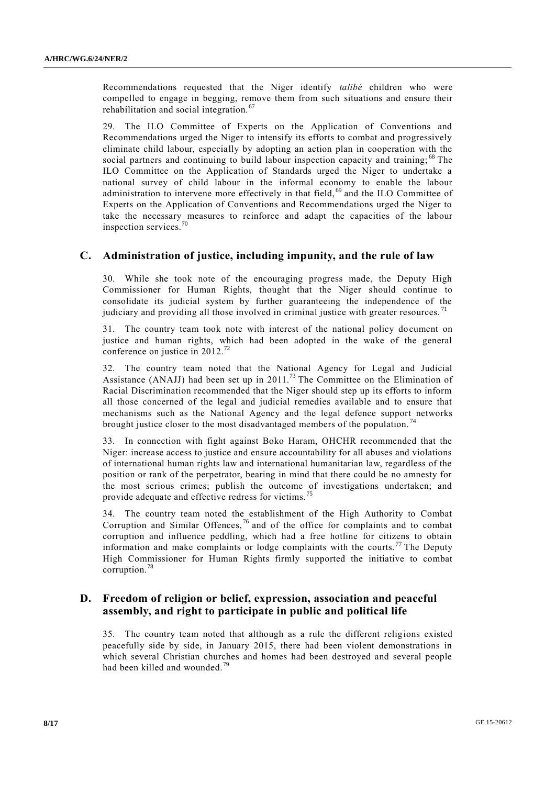Recommendations requested that the Niger identify *talibé* children who were compelled to engage in begging, remove them from such situations and ensure their rehabilitation and social integration. <sup>67</sup>

29. The ILO Committee of Experts on the Application of Conventions and Recommendations urged the Niger to intensify its efforts to combat and progressively eliminate child labour, especially by adopting an action plan in cooperation with the social partners and continuing to build labour inspection capacity and training; <sup>68</sup> The ILO Committee on the Application of Standards urged the Niger to undertake a national survey of child labour in the informal economy to enable the labour administration to intervene more effectively in that field,<sup>69</sup> and the ILO Committee of Experts on the Application of Conventions and Recommendations urged the Niger to take the necessary measures to reinforce and adapt the capacities of the labour inspection services.<sup>7</sup>

### **C. Administration of justice, including impunity, and the rule of law**

30. While she took note of the encouraging progress made, the Deputy High Commissioner for Human Rights, thought that the Niger should continue to consolidate its judicial system by further guaranteeing the independence of the judiciary and providing all those involved in criminal justice with greater resources.<sup>71</sup>

31. The country team took note with interest of the national policy document on justice and human rights, which had been adopted in the wake of the general conference on justice in 2012.<sup>72</sup>

32. The country team noted that the National Agency for Legal and Judicial Assistance (ANAJJ) had been set up in 2011.<sup>73</sup> The Committee on the Elimination of Racial Discrimination recommended that the Niger should step up its efforts to inform all those concerned of the legal and judicial remedies available and to ensure that mechanisms such as the National Agency and the legal defence support networks brought justice closer to the most disadvantaged members of the population.<sup>74</sup>

33. In connection with fight against Boko Haram, OHCHR recommended that the Niger: increase access to justice and ensure accountability for all abuses and violations of international human rights law and international humanitarian law, regardless of the position or rank of the perpetrator, bearing in mind that there could be no amnesty for the most serious crimes; publish the outcome of investigations undertaken; and provide adequate and effective redress for victims. <sup>75</sup>

34. The country team noted the establishment of the High Authority to Combat Corruption and Similar Offences, <sup>76</sup> and of the office for complaints and to combat corruption and influence peddling, which had a free hotline for citizens to obtain information and make complaints or lodge complaints with the courts.<sup>77</sup> The Deputy High Commissioner for Human Rights firmly supported the initiative to combat corruption.<sup>78</sup>

## **D. Freedom of religion or belief, expression, association and peaceful assembly, and right to participate in public and political life**

35. The country team noted that although as a rule the different religions existed peacefully side by side, in January 2015, there had been violent demonstrations in which several Christian churches and homes had been destroyed and several people had been killed and wounded.<sup>79</sup>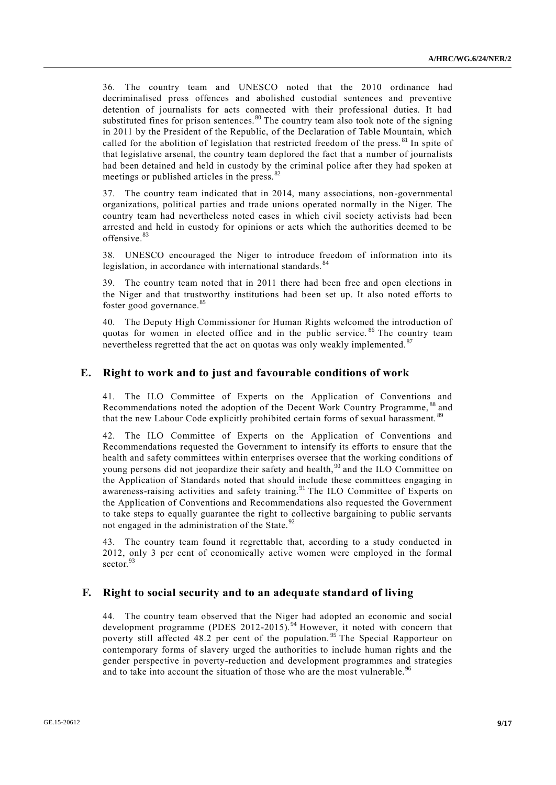36. The country team and UNESCO noted that the 2010 ordinance had decriminalised press offences and abolished custodial sentences and preventive detention of journalists for acts connected with their professional duties. It had substituted fines for prison sentences.<sup>80</sup> The country team also took note of the signing in 2011 by the President of the Republic, of the Declaration of Table Mountain, which called for the abolition of legislation that restricted freedom of the press.<sup>81</sup> In spite of that legislative arsenal, the country team deplored the fact that a number of journalists had been detained and held in custody by the criminal police after they had spoken at meetings or published articles in the press. <sup>82</sup>

37. The country team indicated that in 2014, many associations, non-governmental organizations, political parties and trade unions operated normally in the Niger. The country team had nevertheless noted cases in which civil society activists had been arrested and held in custody for opinions or acts which the authorities deemed to be offensive.<sup>83</sup>

38. UNESCO encouraged the Niger to introduce freedom of information into its legislation, in accordance with international standards.<sup>84</sup>

39. The country team noted that in 2011 there had been free and open elections in the Niger and that trustworthy institutions had been set up. It also noted efforts to foster good governance.<sup>85</sup>

40. The Deputy High Commissioner for Human Rights welcomed the introduction of quotas for women in elected office and in the public service. <sup>86</sup> The country team nevertheless regretted that the act on quotas was only weakly implemented.<sup>87</sup>

#### **E. Right to work and to just and favourable conditions of work**

41. The ILO Committee of Experts on the Application of Conventions and Recommendations noted the adoption of the Decent Work Country Programme, <sup>88</sup> and that the new Labour Code explicitly prohibited certain forms of sexual harassment. <sup>89</sup>

42. The ILO Committee of Experts on the Application of Conventions and Recommendations requested the Government to intensify its efforts to ensure that the health and safety committees within enterprises oversee that the working conditions of young persons did not jeopardize their safety and health,<sup>90</sup> and the ILO Committee on the Application of Standards noted that should include these committees engaging in awareness-raising activities and safety training.<sup>91</sup> The ILO Committee of Experts on the Application of Conventions and Recommendations also requested the Government to take steps to equally guarantee the right to collective bargaining to public servants not engaged in the administration of the State. $92$ 

43. The country team found it regrettable that, according to a study conducted in 2012, only 3 per cent of economically active women were employed in the formal sector.<sup>93</sup>

#### **F. Right to social security and to an adequate standard of living**

44. The country team observed that the Niger had adopted an economic and social development programme (PDES 2012-2015).<sup>94</sup> However, it noted with concern that poverty still affected 48.2 per cent of the population.<sup>95</sup> The Special Rapporteur on contemporary forms of slavery urged the authorities to include human rights and the gender perspective in poverty-reduction and development programmes and strategies and to take into account the situation of those who are the most vulnerable.<sup>96</sup>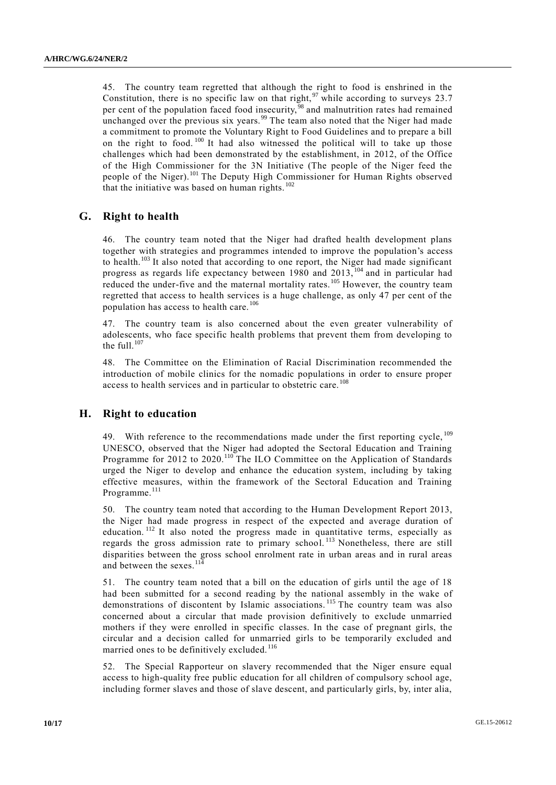45. The country team regretted that although the right to food is enshrined in the Constitution, there is no specific law on that right,  $97$  while according to surveys 23.7 per cent of the population faced food insecurity,<sup>98</sup> and malnutrition rates had remained unchanged over the previous six years.<sup>99</sup> The team also noted that the Niger had made a commitment to promote the Voluntary Right to Food Guidelines and to prepare a bill on the right to food. <sup>100</sup> It had also witnessed the political will to take up those challenges which had been demonstrated by the establishment, in 2012, of the Office of the High Commissioner for the 3N Initiative (The people of the Niger feed the people of the Niger).<sup>101</sup> The Deputy High Commissioner for Human Rights observed that the initiative was based on human rights.<sup>102</sup>

### **G. Right to health**

46. The country team noted that the Niger had drafted health development plans together with strategies and programmes intended to improve the population's access to health.<sup>103</sup> It also noted that according to one report, the Niger had made significant progress as regards life expectancy between 1980 and 2013,<sup>104</sup> and in particular had reduced the under-five and the maternal mortality rates.<sup>105</sup> However, the country team regretted that access to health services is a huge challenge, as only 47 per cent of the population has access to health care.<sup>106</sup>

The country team is also concerned about the even greater vulnerability of adolescents, who face specific health problems that prevent them from developing to the full. $107$ 

48. The Committee on the Elimination of Racial Discrimination recommended the introduction of mobile clinics for the nomadic populations in order to ensure proper access to health services and in particular to obstetric care.<sup>108</sup>

#### **H. Right to education**

49. With reference to the recommendations made under the first reporting cycle, <sup>109</sup> UNESCO, observed that the Niger had adopted the Sectoral Education and Training Programme for 2012 to 2020.<sup>110</sup> The ILO Committee on the Application of Standards urged the Niger to develop and enhance the education system, including by taking effective measures, within the framework of the Sectoral Education and Training Programme.<sup>111</sup>

50. The country team noted that according to the Human Development Report 2013, the Niger had made progress in respect of the expected and average duration of education. <sup>112</sup> It also noted the progress made in quantitative terms, especially as regards the gross admission rate to primary school. <sup>113</sup> Nonetheless, there are still disparities between the gross school enrolment rate in urban areas and in rural areas and between the sexes.<sup>114</sup>

51. The country team noted that a bill on the education of girls until the age of 18 had been submitted for a second reading by the national assembly in the wake of demonstrations of discontent by Islamic associations.<sup>115</sup> The country team was also concerned about a circular that made provision definitively to exclude unmarried mothers if they were enrolled in specific classes. In the case of pregnant girls, the circular and a decision called for unmarried girls to be temporarily excluded and married ones to be definitively excluded.<sup>116</sup>

52. The Special Rapporteur on slavery recommended that the Niger ensure equal access to high-quality free public education for all children of compulsory school age, including former slaves and those of slave descent, and particularly girls, by, inter alia,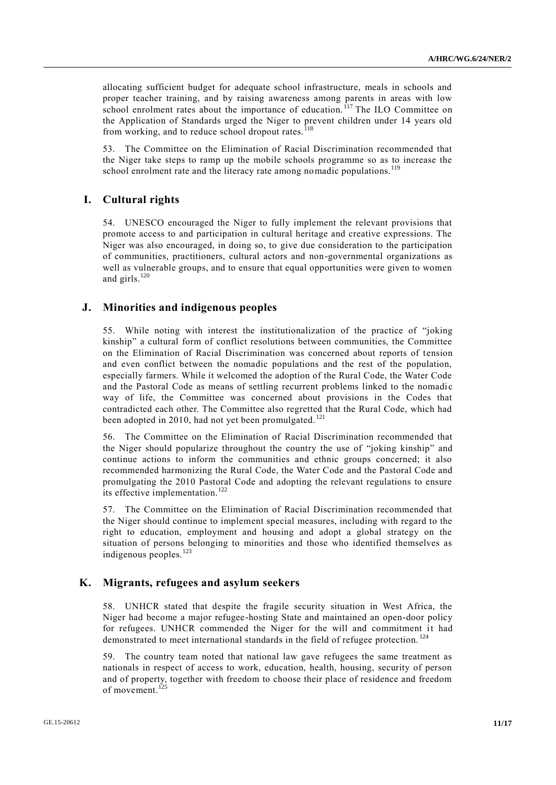allocating sufficient budget for adequate school infrastructure, meals in schools and proper teacher training, and by raising awareness among parents in areas with low school enrolment rates about the importance of education.  $117$  The ILO Committee on the Application of Standards urged the Niger to prevent children under 14 years old from working, and to reduce school dropout rates. $<sup>1</sup>$ </sup>

53. The Committee on the Elimination of Racial Discrimination recommended that the Niger take steps to ramp up the mobile schools programme so as to increase the school enrolment rate and the literacy rate among nomadic populations.<sup>119</sup>

## **I. Cultural rights**

54. UNESCO encouraged the Niger to fully implement the relevant provisions that promote access to and participation in cultural heritage and creative expressions. The Niger was also encouraged, in doing so, to give due consideration to the participation of communities, practitioners, cultural actors and non-governmental organizations as well as vulnerable groups, and to ensure that equal opportunities were given to women and girls. $120$ 

### **J. Minorities and indigenous peoples**

55. While noting with interest the institutionalization of the practice of "joking kinship" a cultural form of conflict resolutions between communities, the Committee on the Elimination of Racial Discrimination was concerned about reports of tension and even conflict between the nomadic populations and the rest of the population, especially farmers. While it welcomed the adoption of the Rural Code, the Water Code and the Pastoral Code as means of settling recurrent problems linked to the nomadic way of life, the Committee was concerned about provisions in the Codes that contradicted each other. The Committee also regretted that the Rural Code, which had been adopted in 2010, had not yet been promulgated.<sup>121</sup>

56. The Committee on the Elimination of Racial Discrimination recommended that the Niger should popularize throughout the country the use of "joking kinship" and continue actions to inform the communities and ethnic groups concerned; it also recommended harmonizing the Rural Code, the Water Code and the Pastoral Code and promulgating the 2010 Pastoral Code and adopting the relevant regulations to ensure its effective implementation.<sup>122</sup>

57. The Committee on the Elimination of Racial Discrimination recommended that the Niger should continue to implement special measures, including with regard to the right to education, employment and housing and adopt a global strategy on the situation of persons belonging to minorities and those who identified themselves as indigenous peoples.<sup>123</sup>

### **K. Migrants, refugees and asylum seekers**

58. UNHCR stated that despite the fragile security situation in West Africa, the Niger had become a major refugee-hosting State and maintained an open-door policy for refugees. UNHCR commended the Niger for the will and commitment it had demonstrated to meet international standards in the field of refugee protection. <sup>124</sup>

59. The country team noted that national law gave refugees the same treatment as nationals in respect of access to work, education, health, housing, security of person and of property, together with freedom to choose their place of residence and freedom of movement.<sup>125</sup>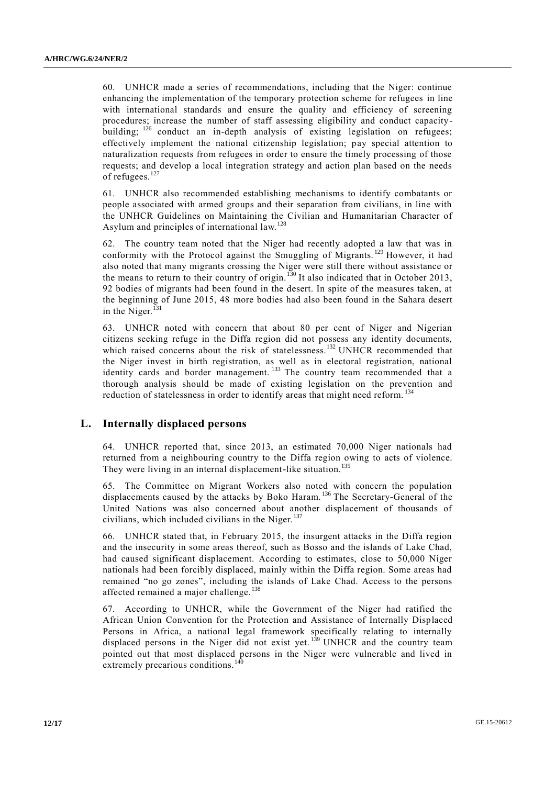60. UNHCR made a series of recommendations, including that the Niger: continue enhancing the implementation of the temporary protection scheme for refugees in line with international standards and ensure the quality and efficiency of screening procedures; increase the number of staff assessing eligibility and conduct capacitybuilding; <sup>126</sup> conduct an in-depth analysis of existing legislation on refugees; effectively implement the national citizenship legislation; pay special attention to naturalization requests from refugees in order to ensure the timely processing of those requests; and develop a local integration strategy and action plan based on the needs of refugees.<sup>127</sup>

61. UNHCR also recommended establishing mechanisms to identify combatants or people associated with armed groups and their separation from civilians, in line with the UNHCR Guidelines on Maintaining the Civilian and Humanitarian Character of Asylum and principles of international law.<sup>128</sup>

62. The country team noted that the Niger had recently adopted a law that was in conformity with the Protocol against the Smuggling of Migrants. <sup>129</sup> However, it had also noted that many migrants crossing the Niger were still there without assistance or the means to return to their country of origin.<sup>130</sup> It also indicated that in October 2013, 92 bodies of migrants had been found in the desert. In spite of the measures taken, at the beginning of June 2015, 48 more bodies had also been found in the Sahara desert in the Niger. $^{131}$ 

63. UNHCR noted with concern that about 80 per cent of Niger and Nigerian citizens seeking refuge in the Diffa region did not possess any identity documents, which raised concerns about the risk of statelessness.<sup>132</sup> UNHCR recommended that the Niger invest in birth registration, as well as in electoral registration, national identity cards and border management.<sup>133</sup> The country team recommended that a thorough analysis should be made of existing legislation on the prevention and reduction of statelessness in order to identify areas that might need reform.<sup>134</sup>

### **L. Internally displaced persons**

64. UNHCR reported that, since 2013, an estimated 70,000 Niger nationals had returned from a neighbouring country to the Diffa region owing to acts of violence. They were living in an internal displacement-like situation.<sup>135</sup>

65. The Committee on Migrant Workers also noted with concern the population displacements caused by the attacks by Boko Haram. <sup>136</sup> The Secretary-General of the United Nations was also concerned about another displacement of thousands of civilians, which included civilians in the Niger. <sup>137</sup>

66. UNHCR stated that, in February 2015, the insurgent attacks in the Diffa region and the insecurity in some areas thereof, such as Bosso and the islands of Lake Chad, had caused significant displacement. According to estimates, close to 50,000 Niger nationals had been forcibly displaced, mainly within the Diffa region. Some areas had remained "no go zones", including the islands of Lake Chad. Access to the persons affected remained a major challenge.<sup>138</sup>

67. According to UNHCR, while the Government of the Niger had ratified the African Union Convention for the Protection and Assistance of Internally Displaced Persons in Africa, a national legal framework specifically relating to internally displaced persons in the Niger did not exist yet.<sup>139</sup> UNHCR and the country team pointed out that most displaced persons in the Niger were vulnerable and lived in extremely precarious conditions.<sup>140</sup>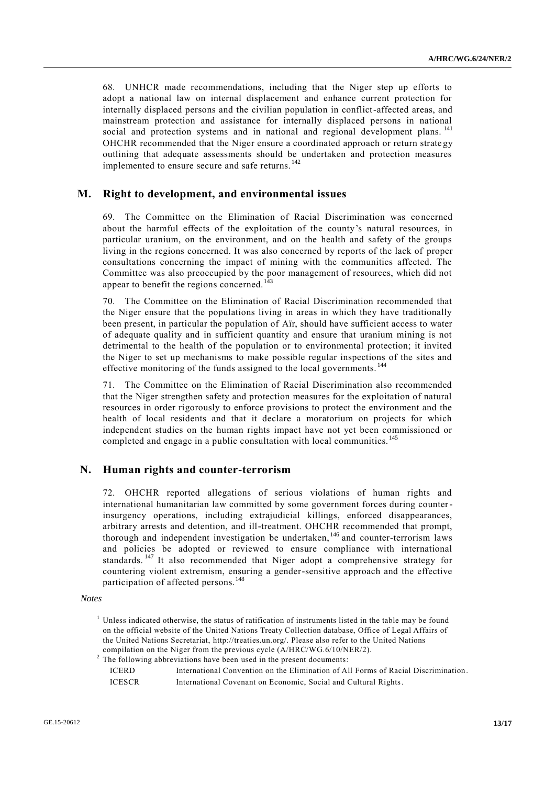68. UNHCR made recommendations, including that the Niger step up efforts to adopt a national law on internal displacement and enhance current protection for internally displaced persons and the civilian population in conflict-affected areas, and mainstream protection and assistance for internally displaced persons in national social and protection systems and in national and regional development plans.<sup>141</sup> OHCHR recommended that the Niger ensure a coordinated approach or return strate gy outlining that adequate assessments should be undertaken and protection measures implemented to ensure secure and safe returns.<sup>142</sup>

#### **M. Right to development, and environmental issues**

69. The Committee on the Elimination of Racial Discrimination was concerned about the harmful effects of the exploitation of the county's natural resources, in particular uranium, on the environment, and on the health and safety of the groups living in the regions concerned. It was also concerned by reports of the lack of proper consultations concerning the impact of mining with the communities affected. The Committee was also preoccupied by the poor management of resources, which did not appear to benefit the regions concerned.<sup>143</sup>

70. The Committee on the Elimination of Racial Discrimination recommended that the Niger ensure that the populations living in areas in which they have traditionally been present, in particular the population of Aïr, should have sufficient access to water of adequate quality and in sufficient quantity and ensure that uranium mining is not detrimental to the health of the population or to environmental protection; it invited the Niger to set up mechanisms to make possible regular inspections of the sites and effective monitoring of the funds assigned to the local governments.<sup>144</sup>

71. The Committee on the Elimination of Racial Discrimination also recommended that the Niger strengthen safety and protection measures for the exploitation of natural resources in order rigorously to enforce provisions to protect the environment and the health of local residents and that it declare a moratorium on projects for which independent studies on the human rights impact have not yet been commissioned or completed and engage in a public consultation with local communities. <sup>145</sup>

### **N. Human rights and counter-terrorism**

72. OHCHR reported allegations of serious violations of human rights and international humanitarian law committed by some government forces during counterinsurgency operations, including extrajudicial killings, enforced disappearances, arbitrary arrests and detention, and ill-treatment. OHCHR recommended that prompt, thorough and independent investigation be undertaken, <sup>146</sup> and counter-terrorism laws and policies be adopted or reviewed to ensure compliance with international standards.<sup>147</sup> It also recommended that Niger adopt a comprehensive strategy for countering violent extremism, ensuring a gender-sensitive approach and the effective participation of affected persons.<sup>148</sup>

*Notes*

 $2$  The following abbreviations have been used in the present documents:

| <b>ICERD</b>  | International Convention on the Elimination of All Forms of Racial Discrimination. |
|---------------|------------------------------------------------------------------------------------|
| <b>ICESCR</b> | International Covenant on Economic, Social and Cultural Rights.                    |

<sup>&</sup>lt;sup>1</sup> Unless indicated otherwise, the status of ratification of instruments listed in the table may be found on the official website of the United Nations Treaty Collection database, Office of Legal Affairs of the United Nations Secretariat, [http://treaties.un.org/.](http://treaties.un.org/) Please also refer to the United Nations compilation on the Niger from the previous cycle (A/HRC/WG.6/10/NER/2).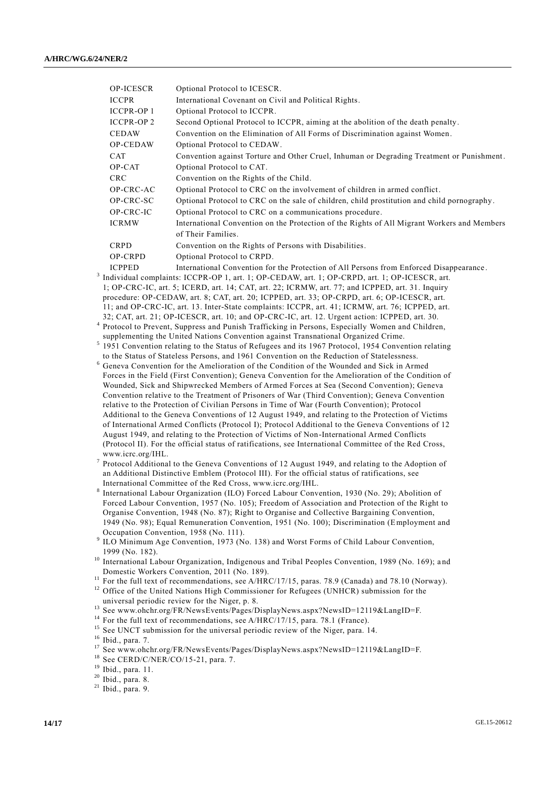| <b>OP-ICESCR</b>                                                                              | Optional Protocol to ICESCR.                                                                |  |  |  |
|-----------------------------------------------------------------------------------------------|---------------------------------------------------------------------------------------------|--|--|--|
| <b>ICCPR</b>                                                                                  | International Covenant on Civil and Political Rights.                                       |  |  |  |
| <b>ICCPR-OP1</b>                                                                              | Optional Protocol to ICCPR.                                                                 |  |  |  |
| <b>ICCPR-OP2</b>                                                                              | Second Optional Protocol to ICCPR, aiming at the abolition of the death penalty.            |  |  |  |
| <b>CEDAW</b>                                                                                  | Convention on the Elimination of All Forms of Discrimination against Women.                 |  |  |  |
| OP-CEDAW                                                                                      | Optional Protocol to CEDAW.                                                                 |  |  |  |
| CAT                                                                                           | Convention against Torture and Other Cruel, Inhuman or Degrading Treatment or Punishment.   |  |  |  |
| OP-CAT                                                                                        | Optional Protocol to CAT.                                                                   |  |  |  |
| <b>CRC</b>                                                                                    | Convention on the Rights of the Child.                                                      |  |  |  |
| OP-CRC-AC                                                                                     | Optional Protocol to CRC on the involvement of children in armed conflict.                  |  |  |  |
| OP-CRC-SC                                                                                     | Optional Protocol to CRC on the sale of children, child prostitution and child pornography. |  |  |  |
| OP-CRC-IC                                                                                     | Optional Protocol to CRC on a communications procedure.                                     |  |  |  |
| <b>ICRMW</b>                                                                                  | International Convention on the Protection of the Rights of All Migrant Workers and Members |  |  |  |
|                                                                                               | of Their Families.                                                                          |  |  |  |
| <b>CRPD</b>                                                                                   | Convention on the Rights of Persons with Disabilities.                                      |  |  |  |
| OP-CRPD                                                                                       | Optional Protocol to CRPD.                                                                  |  |  |  |
| <b>ICPPED</b>                                                                                 | International Convention for the Protection of All Persons from Enforced Disappearance.     |  |  |  |
| Individual complaints: ICCPR-OP 1, art. 1; OP-CEDAW, art. 1; OP-CRPD, art. 1; OP-ICESCR, art. |                                                                                             |  |  |  |

- $3\,$  I 1; OP-CRC-IC, art. 5; ICERD, art. 14; CAT, art. 22; ICRMW, art. 77; and ICPPED, art. 31. Inquiry procedure: OP-CEDAW, art. 8; CAT, art. 20; ICPPED, art. 33; OP-CRPD, art. 6; OP-ICESCR, art. 11; and OP-CRC-IC, art. 13. Inter-State complaints: ICCPR, art. 41; ICRMW, art. 76; ICPPED, art. 32; CAT, art. 21; OP-ICESCR, art. 10; and OP-CRC-IC, art. 12. Urgent action: ICPPED, art. 30.
- 4 Protocol to Prevent, Suppress and Punish Trafficking in Persons, Especially Women and Children, supplementing the United Nations Convention against Transnational Organized Crime.
- <sup>5</sup> 1951 Convention relating to the Status of Refugees and its 1967 Protocol, 1954 Convention relating to the Status of Stateless Persons, and 1961 Convention on the Reduction of Statelessness.
- <sup>6</sup> Geneva Convention for the Amelioration of the Condition of the Wounded and Sick in Armed Forces in the Field (First Convention); Geneva Convention for the Amelioration of the Condition of Wounded, Sick and Shipwrecked Members of Armed Forces at Sea (Second Convention); Geneva Convention relative to the Treatment of Prisoners of War (Third Convention); Geneva Convention relative to the Protection of Civilian Persons in Time of War (Fourth Convention); Protocol Additional to the Geneva Conventions of 12 August 1949, and relating to the Protection of Victims of International Armed Conflicts (Protocol I); Protocol Additional to the Geneva Conventions of 12 August 1949, and relating to the Protection of Victims of Non-International Armed Conflicts (Protocol II). For the official status of ratifications, see International Committee of the Red Cross, www.icrc.org/IHL.
- 7 Protocol Additional to the Geneva Conventions of 12 August 1949, and relating to the Adoption of an Additional Distinctive Emblem (Protocol III). For the official status of ratifications, see International Committee of the Red Cross, www.icrc.org/IHL.
- 8 International Labour Organization (ILO) Forced Labour Convention, 1930 (No. 29); Abolition of Forced Labour Convention, 1957 (No. 105); Freedom of Association and Protection of the Right to Organise Convention, 1948 (No. 87); Right to Organise and Collective Bargaining Convention, 1949 (No. 98); Equal Remuneration Convention, 1951 (No. 100); Discrimination (Employment and Occupation Convention, 1958 (No. 111).
- <sup>9</sup> ILO Minimum Age Convention, 1973 (No. 138) and Worst Forms of Child Labour Convention, 1999 (No. 182).
- <sup>10</sup> International Labour Organization, Indigenous and Tribal Peoples Convention, 1989 (No. 169); and Domestic Workers Convention, 2011 (No. 189).
- <sup>11</sup> For the full text of recommendations, see A/HRC/17/15, paras. 78.9 (Canada) and 78.10 (Norway).
- <sup>12</sup> Office of the United Nations High Commissioner for Refugees (UNHCR) submission for the universal periodic review for the Niger, p. 8.
- <sup>13</sup> See www.ohchr.org/FR/NewsEvents/Pages/DisplayNews.aspx?NewsID=12119&LangID=F.
- <sup>14</sup> For the full text of recommendations, see  $A/HRC/17/15$ , para. 78.1 (France).
- <sup>15</sup> See UNCT submission for the universal periodic review of the Niger, para. 14.

- <sup>17</sup> See www.ohchr.org/FR/NewsEvents/Pages/DisplayNews.aspx?NewsID=12119&LangID=F.
- <sup>18</sup> See CERD/C/NER/CO/15-21, para. 7.
- <sup>19</sup> Ibid., para. 11.
- <sup>20</sup> Ibid., para. 8.

<sup>16</sup> Ibid., para. 7.

 $21$  Ibid., para. 9.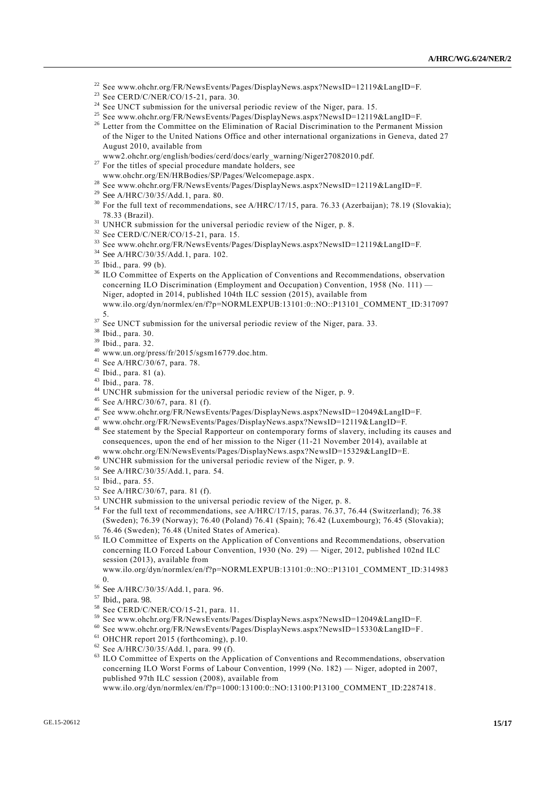- <sup>22</sup> See www.ohchr.org/FR/NewsEvents/Pages/DisplayNews.aspx?NewsID=12119&LangID=F.
- <sup>23</sup> See CERD/C/NER/CO/15-21, para. 30.
- <sup>24</sup> See UNCT submission for the universal periodic review of the Niger, para. 15.
- <sup>25</sup> See www.ohchr.org/FR/NewsEvents/Pages/DisplayNews.aspx?NewsID=12119&LangID=F.
- <sup>26</sup> Letter from the Committee on the Elimination of Racial Discrimination to the Permanent Mission of the Niger to the United Nations Office and other international organizations in Geneva, dated 27 August 2010, available from
- www2.ohchr.org/english/bodies/cerd/docs/early\_warning/Niger27082010.pdf.
- $27$  For the titles of special procedure mandate holders, see www.ohchr.org/EN/HRBodies/SP/Pages/Welcomepage.aspx.
- <sup>28</sup> See www.ohchr.org/FR/NewsEvents/Pages/DisplayNews.aspx?NewsID=12119&LangID=F.
- <sup>29</sup> See A/HRC/30/35/Add.1, para. 80.
- <sup>30</sup> For the full text of recommendations, see A/HRC/17/15, para. 76.33 (Azerbaijan); 78.19 (Slovakia); 78.33 (Brazil).
- $31$  UNHCR submission for the universal periodic review of the Niger, p. 8.
- $32$  See CERD/C/NER/CO/15-21, para. 15.
- <sup>33</sup> See www.ohchr.org/FR/NewsEvents/Pages/DisplayNews.aspx?NewsID=12119&LangID=F.
- <sup>34</sup> See A/HRC/30/35/Add.1, para. 102.
- <sup>35</sup> Ibid., para. 99 (b).
- <sup>36</sup> ILO Committee of Experts on the Application of Conventions and Recommendations, observation concerning ILO Discrimination (Employment and Occupation) Convention, 1958 (No. 111) — Niger, adopted in 2014, published 104th ILC session (2015), available from www.ilo.org/dyn/normlex/en/f?p=NORMLEXPUB:13101:0::NO::P13101\_COMMENT\_ID:317097 5.
- $37$  See UNCT submission for the universal periodic review of the Niger, para. 33.
- <sup>38</sup> Ibid., para. 30.
- <sup>39</sup> Ibid., para. 32.
- $^{40}$  www.un.org/press/fr/2015/sgsm16779.doc.htm.
- <sup>41</sup> See A/HRC/30/67, para. 78.
- $42$  Ibid., para. 81 (a).
- $43$  Ibid., para. 78.
- <sup>44</sup> UNCHR submission for the universal periodic review of the Niger, p. 9.
- <sup>45</sup> See A/HRC/30/67, para. 81 (f).
- <sup>46</sup> See www.ohchr.org/FR/NewsEvents/Pages/DisplayNews.aspx?NewsID=12049&LangID=F.
- <sup>47</sup> www.ohchr.org/FR/NewsEvents/Pages/DisplayNews.aspx?NewsID=12119&LangID=F.
- <sup>48</sup> See statement by the Special Rapporteur on contemporary forms of slavery, including its causes and consequences, upon the end of her mission to the Niger (11-21 November 2014), available at www.ohchr.org/EN/NewsEvents/Pages/DisplayNews.aspx?NewsID=15329&LangID=E.
- <sup>49</sup> UNCHR submission for the universal periodic review of the Niger, p. 9.
- <sup>50</sup> See A/HRC/30/35/Add.1, para. 54.
- <sup>51</sup> Ibid., para. 55.
- <sup>52</sup> See A/HRC/30/67, para. 81 (f).
- <sup>53</sup> UNCHR submission to the universal periodic review of the Niger, p. 8.
- <sup>54</sup> For the full text of recommendations, see A/HRC/17/15, paras. 76.37, 76.44 (Switzerland); 76.38 (Sweden); 76.39 (Norway); 76.40 (Poland) 76.41 (Spain); 76.42 (Luxembourg); 76.45 (Slovakia); 76.46 (Sweden); 76.48 (United States of America).
- <sup>55</sup> ILO Committee of Experts on the Application of Conventions and Recommendations, observation concerning ILO Forced Labour Convention, 1930 (No. 29) — Niger, 2012, published 102nd ILC session (2013), available from

www.ilo.org/dyn/normlex/en/f?p=NORMLEXPUB:13101:0::NO::P13101\_COMMENT\_ID:314983 0.

<sup>56</sup> See A/HRC/30/35/Add.1, para. 96.

- <sup>58</sup> See CERD/C/NER/CO/15-21, para. 11.
- <sup>59</sup> See www.ohchr.org/FR/NewsEvents/Pages/DisplayNews.aspx?NewsID=12049&LangID=F.
- <sup>60</sup> See www.ohchr.org/FR/NewsEvents/Pages/DisplayNews.aspx?NewsID=15330&LangID=F.
- $61$  OHCHR report 2015 (forthcoming), p.10.
- <sup>62</sup> See A/HRC/30/35/Add.1, para. 99 (f).
- <sup>63</sup> ILO Committee of Experts on the Application of Conventions and Recommendations, observation concerning ILO Worst Forms of Labour Convention, 1999 (No. 182) — Niger, adopted in 2007, published 97th ILC session (2008), available from

www.ilo.org/dyn/normlex/en/f?p=1000:13100:0::NO:13100:P13100\_COMMENT\_ID:2287418.

<sup>57</sup> Ibid., para. 98.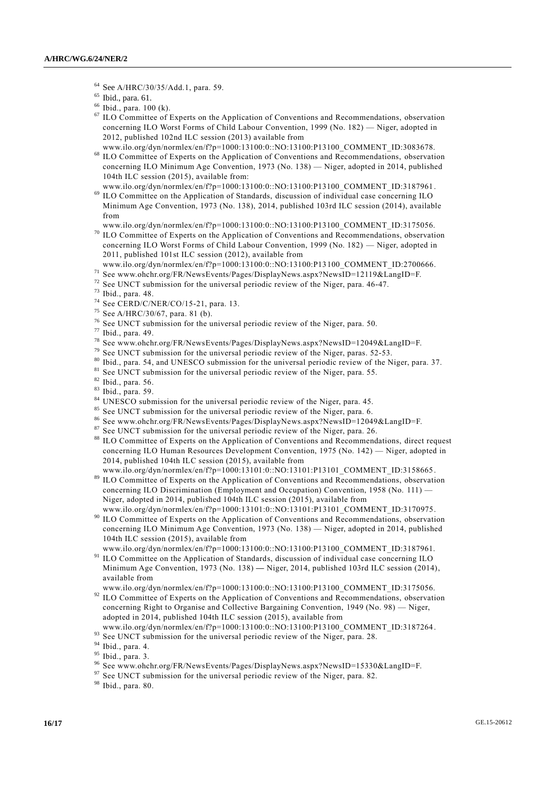- <sup>64</sup> See A/HRC/30/35/Add.1, para. 59.
- $<sup>65</sup>$  Ibid., para. 61.</sup>
- $66$  Ibid., para. 100 (k).
- <sup>67</sup> ILO Committee of Experts on the Application of Conventions and Recommendations, observation concerning ILO Worst Forms of Child Labour Convention, 1999 (No. 182) — Niger, adopted in 2012, published 102nd ILC session (2013) available from
- www.ilo.org/dyn/normlex/en/f?p=1000:13100:0::NO:13100:P13100\_COMMENT\_ID:3083678.
- <sup>68</sup> ILO Committee of Experts on the Application of Conventions and Recommendations, observation concerning ILO Minimum Age Convention, 1973 (No. 138) — Niger, adopted in 2014, published 104th ILC session (2015), available from:
- www.ilo.org/dyn/normlex/en/f?p=1000:13100:0::NO:13100:P13100\_COMMENT\_ID:3187961. <sup>69</sup> ILO Committee on the Application of Standards, discussion of individual case concerning ILO Minimum Age Convention, 1973 (No. 138), 2014, published 103rd ILC session (2014), available from

www.ilo.org/dyn/normlex/en/f?p=1000:13100:0::NO:13100:P13100\_COMMENT\_ID:3175056.

- <sup>70</sup> ILO Committee of Experts on the Application of Conventions and Recommendations, observation concerning ILO Worst Forms of Child Labour Convention, 1999 (No. 182) — Niger, adopted in 2011, published 101st ILC session (2012), available from
- www.ilo.org/dyn/normlex/en/f?p=1000:13100:0::NO:13100:P13100\_COMMENT\_ID:2700666.
- <sup>71</sup> See www.ohchr.org/FR/NewsEvents/Pages/DisplayNews.aspx?NewsID=12119&LangID=F.
- <sup>72</sup> See UNCT submission for the universal periodic review of the Niger, para. 46-47.
- <sup>73</sup> Ibid., para. 48.
- <sup>74</sup> See CERD/C/NER/CO/15-21, para. 13.
- <sup>75</sup> See A/HRC/30/67, para. 81 (b).
- $76$  See UNCT submission for the universal periodic review of the Niger, para. 50.
- $77$  Ibid., para. 49.
- <sup>78</sup> See www.ohchr.org/FR/NewsEvents/Pages/DisplayNews.aspx?NewsID=12049&LangID=F.
- <sup>79</sup> See UNCT submission for the universal periodic review of the Niger, paras. 52-53.
- Ibid., para. 54, and UNESCO submission for the universal periodic review of the Niger, para. 37.
- <sup>81</sup> See UNCT submission for the universal periodic review of the Niger, para. 55.
- <sup>82</sup> Ibid., para. 56.
- <sup>83</sup> Ibid., para. 59.
- <sup>84</sup> UNESCO submission for the universal periodic review of the Niger, para. 45.
- <sup>85</sup> See UNCT submission for the universal periodic review of the Niger, para. 6.
- <sup>86</sup> See www.ohchr.org/FR/NewsEvents/Pages/DisplayNews.aspx?NewsID=12049&LangID=F.
- <sup>87</sup> See UNCT submission for the universal periodic review of the Niger, para. 26.<br><sup>88</sup> H.O. Committee of Experts on the Application of Conventions and Becommons
- ILO Committee of Experts on the Application of Conventions and Recommendations, direct request concerning ILO Human Resources Development Convention, 1975 (No. 142) — Niger, adopted in 2014, published 104th ILC session (2015), available from www.ilo.org/dyn/normlex/en/f?p=1000:13101:0::NO:13101:P13101\_COMMENT\_ID:3158665 .
- <sup>89</sup> ILO Committee of Experts on the Application of Conventions and Recommendations, observation concerning ILO Discrimination (Employment and Occupation) Convention, 1958 (No. 111) — Niger, adopted in 2014, published 104th ILC session (2015), available from
- www.ilo.org/dyn/normlex/en/f?p=1000:13101:0::NO:13101:P13101\_COMMENT\_ID:3170975. <sup>90</sup> ILO Committee of Experts on the Application of Conventions and Recommendations, observation concerning ILO [Minimum Age Convention, 1973 \(No.](http://www.ilo.org/dyn/normlex/en/f?p=NORMLEXPUB:12100:0::NO:12100:P12100_INSTRUMENT_ID:312283:NO) 138) — Niger, adopted in 2014, published 104th ILC session (2015), available from
- www.ilo.org/dyn/normlex/en/f?p=1000:13100:0::NO:13100:P13100\_COMMENT\_ID:3187961. <sup>91</sup> ILO Committee on the Application of Standards, discussion of individual case concerning ILO Minimum Age Convention, 1973 (No. 138) **—** Niger, 2014, published 103rd ILC session (2014), available from
- www.ilo.org/dyn/normlex/en/f?p=1000:13100:0::NO:13100:P13100\_COMMENT\_ID:3175056. <sup>92</sup> ILO Committee of Experts on the Application of Conventions and Recommendations, observation concerning [Right to Organise and Collective Bargaining Convention, 1949 \(No.](http://www.ilo.org/dyn/normlex/en/f?p=NORMLEXPUB:12100:0::NO:12100:P12100_INSTRUMENT_ID:312243:NO) 98) — Niger, adopted in 2014, published 104th ILC session (2015), available from
- www.ilo.org/dyn/normlex/en/f?p=1000:13100:0::NO:13100:P13100\_COMMENT\_ID:3187264 .
- <sup>93</sup> See UNCT submission for the universal periodic review of the Niger, para. 28.
- <sup>94</sup> Ibid., para. 4.
- <sup>95</sup> Ibid., para. 3.
- See www.ohchr.org/FR/NewsEvents/Pages/DisplayNews.aspx?NewsID=15330&LangID=F.
- $97$  See UNCT submission for the universal periodic review of the Niger, para. 82.

<sup>98</sup> Ibid., para. 80.